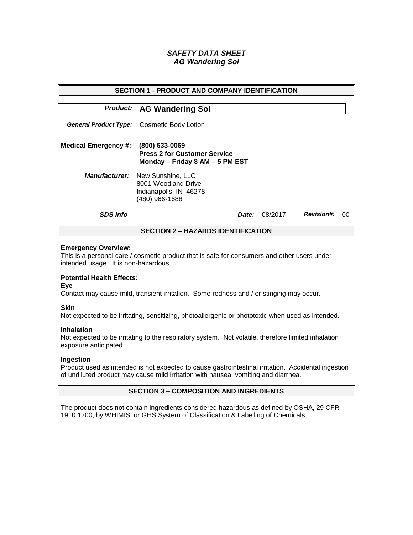# *SAFETY DATA SHEET AG Wandering Sol*

| <b>SECTION 1 - PRODUCT AND COMPANY IDENTIFICATION</b> |                                                                                                           |  |         |                   |    |  |
|-------------------------------------------------------|-----------------------------------------------------------------------------------------------------------|--|---------|-------------------|----|--|
|                                                       | <b>Product: AG Wandering Sol</b>                                                                          |  |         |                   |    |  |
|                                                       | <b>General Product Type:</b> Cosmetic Body Lotion                                                         |  |         |                   |    |  |
| <b>Medical Emergency #:</b>                           | (800) 633-0069<br><b>Press 2 for Customer Service</b><br>Monday - Friday 8 AM - 5 PM EST                  |  |         |                   |    |  |
|                                                       | <b>Manufacturer:</b> New Sunshine, LLC<br>8001 Woodland Drive<br>Indianapolis, IN 46278<br>(480) 966-1688 |  |         |                   |    |  |
| <b>SDS Info</b>                                       | <i>Date:</i>                                                                                              |  | 08/2017 | <b>Revision#:</b> | 00 |  |
| <b>SECTION 2 – HAZARDS IDENTIFICATION</b>             |                                                                                                           |  |         |                   |    |  |

#### **Emergency Overview:**

This is a personal care / cosmetic product that is safe for consumers and other users under intended usage. It is non-hazardous.

# **Potential Health Effects:**

**Eye**

Contact may cause mild, transient irritation. Some redness and / or stinging may occur.

### **Skin**

Not expected to be irritating, sensitizing, photoallergenic or phototoxic when used as intended.

#### **Inhalation**

Not expected to be irritating to the respiratory system. Not volatile, therefore limited inhalation exposure anticipated.

### **Ingestion**

Product used as intended is not expected to cause gastrointestinal irritation. Accidental ingestion of undiluted product may cause mild irritation with nausea, vomiting and diarrhea.

### **SECTION 3 – COMPOSITION AND INGREDIENTS**

The product does not contain ingredients considered hazardous as defined by OSHA, 29 CFR 1910.1200, by WHIMIS, or GHS System of Classification & Labelling of Chemicals.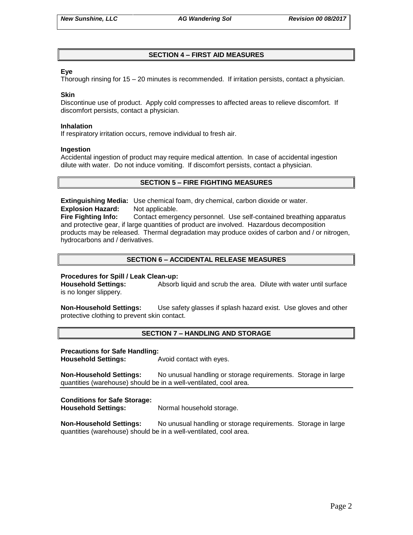# **SECTION 4 – FIRST AID MEASURES**

### **Eye**

Thorough rinsing for 15 – 20 minutes is recommended. If irritation persists, contact a physician.

#### **Skin**

Discontinue use of product. Apply cold compresses to affected areas to relieve discomfort. If discomfort persists, contact a physician.

#### **Inhalation**

If respiratory irritation occurs, remove individual to fresh air.

#### **Ingestion**

Accidental ingestion of product may require medical attention. In case of accidental ingestion dilute with water. Do not induce vomiting. If discomfort persists, contact a physician.

### **SECTION 5 – FIRE FIGHTING MEASURES**

**Extinguishing Media:** Use chemical foam, dry chemical, carbon dioxide or water. **Explosion Hazard:** Not applicable.

**Fire Fighting Info:** Contact emergency personnel. Use self-contained breathing apparatus and protective gear, if large quantities of product are involved. Hazardous decomposition products may be released. Thermal degradation may produce oxides of carbon and / or nitrogen, hydrocarbons and / derivatives.

# **SECTION 6 – ACCIDENTAL RELEASE MEASURES**

### **Procedures for Spill / Leak Clean-up:**

**Household Settings:** Absorb liquid and scrub the area. Dilute with water until surface is no longer slippery.

**Non-Household Settings:** Use safety glasses if splash hazard exist. Use gloves and other protective clothing to prevent skin contact.

### **SECTION 7 – HANDLING AND STORAGE**

#### **Precautions for Safe Handling:**

**Household Settings:** Avoid contact with eyes.

**Non-Household Settings:** No unusual handling or storage requirements. Storage in large quantities (warehouse) should be in a well-ventilated, cool area.

### **Conditions for Safe Storage:**

**Household Settings:** Normal household storage.

**Non-Household Settings:** No unusual handling or storage requirements. Storage in large quantities (warehouse) should be in a well-ventilated, cool area.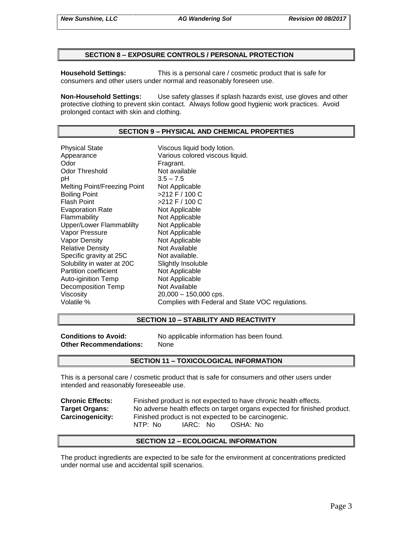### **SECTION 8 – EXPOSURE CONTROLS / PERSONAL PROTECTION**

**Household Settings:** This is a personal care / cosmetic product that is safe for consumers and other users under normal and reasonably foreseen use.

**Non-Household Settings:** Use safety glasses if splash hazards exist, use gloves and other protective clothing to prevent skin contact. Always follow good hygienic work practices. Avoid prolonged contact with skin and clothing.

### **SECTION 9 – PHYSICAL AND CHEMICAL PROPERTIES**

Physical State Viscous liquid body lotion. Appearance **Various colored viscous liquid.**<br>
Odor Communication Colore Fragrant. Odor Threshold Not available pH 3.5 – 7.5 Melting Point/Freezing Point Not Applicable Boiling Point >212 F / 100 C Flash Point  $>212$  F / 100 C Evaporation Rate Not Applicable Flammability Not Applicable Upper/Lower Flammablilty Not Applicable Vapor Pressure Not Applicable Vapor Density Not Applicable Relative Density Not Available Specific gravity at 25C Not available. Solubility in water at 20C Slightly Insoluble Partition coefficient Not Applicable Auto-iginition Temp Not Applicable Decomposition Temp Not Available Viscosity 20,000 – 150,000 cps. Volatile % Complies with Federal and State VOC regulations.

### **SECTION 10 – STABILITY AND REACTIVITY**

**Other Recommendations:** None

**Conditions to Avoid:** No applicable information has been found.

### **SECTION 11 – TOXICOLOGICAL INFORMATION**

This is a personal care / cosmetic product that is safe for consumers and other users under intended and reasonably foreseeable use.

**Chronic Effects:** Finished product is not expected to have chronic health effects. **Target Organs:** No adverse health effects on target organs expected for finished product. **Carcinogenicity:** Finished product is not expected to be carcinogenic. NTP: No IARC: No OSHA: No

### **SECTION 12 – ECOLOGICAL INFORMATION**

The product ingredients are expected to be safe for the environment at concentrations predicted under normal use and accidental spill scenarios.